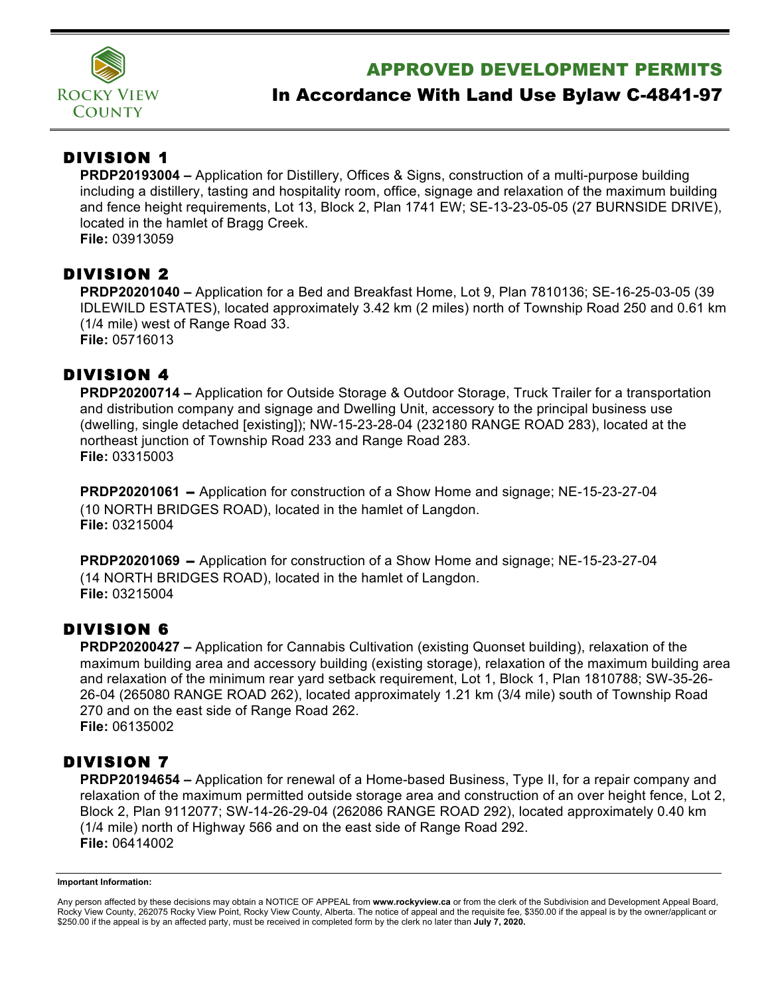

# APPROVED DEVELOPMENT PERMITS

## In Accordance With Land Use Bylaw C-4841-97

## DIVISION 1

**PRDP20193004 –** Application for Distillery, Offices & Signs, construction of a multi-purpose building including a distillery, tasting and hospitality room, office, signage and relaxation of the maximum building and fence height requirements, Lot 13, Block 2, Plan 1741 EW; SE-13-23-05-05 (27 BURNSIDE DRIVE), located in the hamlet of Bragg Creek. **File:** 03913059

#### DIVISION 2

**PRDP20201040 –** Application for a Bed and Breakfast Home, Lot 9, Plan 7810136; SE-16-25-03-05 (39 IDLEWILD ESTATES), located approximately 3.42 km (2 miles) north of Township Road 250 and 0.61 km (1/4 mile) west of Range Road 33. **File:** 05716013

### DIVISION 4

**PRDP20200714 –** Application for Outside Storage & Outdoor Storage, Truck Trailer for a transportation and distribution company and signage and Dwelling Unit, accessory to the principal business use (dwelling, single detached [existing]); NW-15-23-28-04 (232180 RANGE ROAD 283), located at the northeast junction of Township Road 233 and Range Road 283. **File:** 03315003

**PRDP20201061** – Application for construction of a Show Home and signage; NE-15-23-27-04 (10 NORTH BRIDGES ROAD), located in the hamlet of Langdon. **File:** 03215004

**PRDP20201069** – Application for construction of a Show Home and signage; NE-15-23-27-04 (14 NORTH BRIDGES ROAD), located in the hamlet of Langdon. **File:** 03215004

#### DIVISION 6

**PRDP20200427 –** Application for Cannabis Cultivation (existing Quonset building), relaxation of the maximum building area and accessory building (existing storage), relaxation of the maximum building area and relaxation of the minimum rear yard setback requirement, Lot 1, Block 1, Plan 1810788; SW-35-26- 26-04 (265080 RANGE ROAD 262), located approximately 1.21 km (3/4 mile) south of Township Road 270 and on the east side of Range Road 262. **File:** 06135002

### DIVISION 7

**PRDP20194654 –** Application for renewal of a Home-based Business, Type II, for a repair company and relaxation of the maximum permitted outside storage area and construction of an over height fence, Lot 2, Block 2, Plan 9112077; SW-14-26-29-04 (262086 RANGE ROAD 292), located approximately 0.40 km (1/4 mile) north of Highway 566 and on the east side of Range Road 292. **File:** 06414002

#### **Important Information:**

Any person affected by these decisions may obtain a NOTICE OF APPEAL from **www.rockyview.ca** or from the clerk of the Subdivision and Development Appeal Board, Rocky View County, 262075 Rocky View Point, Rocky View County, Alberta. The notice of appeal and the requisite fee, \$350.00 if the appeal is by the owner/applicant or \$250.00 if the appeal is by an affected party, must be received in completed form by the clerk no later than **July 7, 2020.**